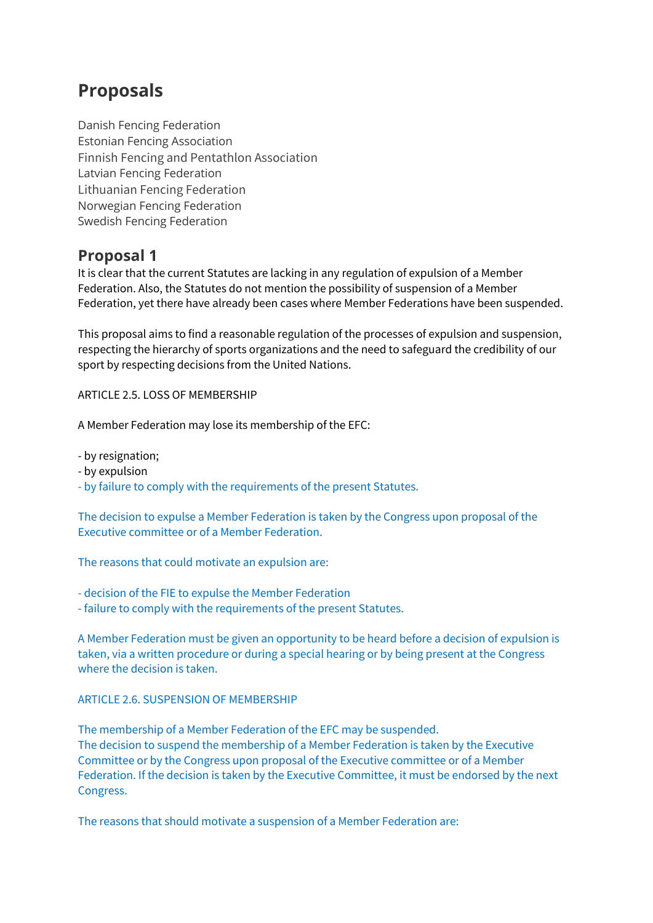## **Proposals**

Danish Fencing Federation Estonian Fencing Association Finnish Fencing and Pentathlon Association Latvian Fencing Federation Lithuanian Fencing Federation Norwegian Fencing Federation Swedish Fencing Federation

## **Proposal 1**

It is clear that the current Statutes are lacking in any regulation of expulsion of a Member Federation. Also, the Statutes do not mention the possibility of suspension of a Member Federation, yet there have already been cases where Member Federations have been suspended.

This proposal aims to find a reasonable regulation of the processes of expulsion and suspension, respecting the hierarchy of sports organizations and the need to safeguard the credibility of our sport by respecting decisions from the United Nations.

ARTICLE 2.5. LOSS OF MEMBERSHIP

A Member Federation may lose its membership of the EFC:

- by resignation;

- by expulsion

- by failure to comply with the requirements of the present Statutes.

The decision to expulse a Member Federation is taken by the Congress upon proposal of the Executive committee or of a Member Federation.

The reasons that could motivate an expulsion are:

- decision of the FIE to expulse the Member Federation
- failure to comply with the requirements of the present Statutes.

A Member Federation must be given an opportunity to be heard before a decision of expulsion is taken, via a written procedure or during a special hearing or by being present at the Congress where the decision is taken.

## ARTICLE 2.6. SUSPENSION OF MEMBERSHIP

The membership of a Member Federation of the EFC may be suspended. The decision to suspend the membership of a Member Federation is taken by the Executive Committee or by the Congress upon proposal of the Executive committee or of a Member Federation. If the decision is taken by the Executive Committee, it must be endorsed by the next Congress.

The reasons that should motivate a suspension of a Member Federation are: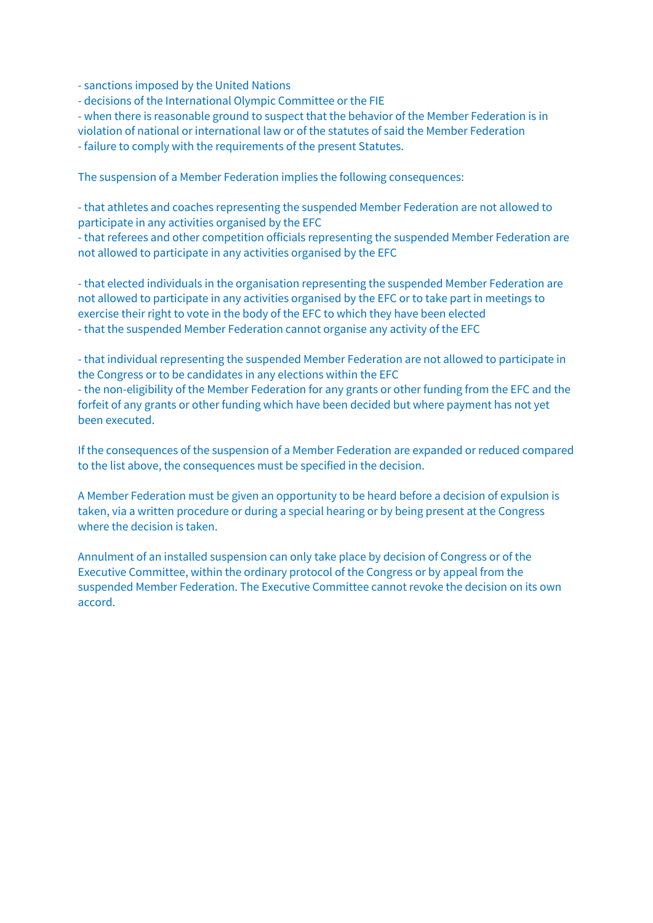- sanctions imposed by the United Nations

- decisions of the International Olympic Committee or the FIE

- when there is reasonable ground to suspect that the behavior of the Member Federation is in violation of national or international law or of the statutes of said the Member Federation

- failure to comply with the requirements of the present Statutes.

The suspension of a Member Federation implies the following consequences:

- that athletes and coaches representing the suspended Member Federation are not allowed to participate in any activities organised by the EFC

- that referees and other competition officials representing the suspended Member Federation are not allowed to participate in any activities organised by the EFC

- that elected individuals in the organisation representing the suspended Member Federation are not allowed to participate in any activities organised by the EFC or to take part in meetings to exercise their right to vote in the body of the EFC to which they have been elected - that the suspended Member Federation cannot organise any activity of the EFC

- that individual representing the suspended Member Federation are not allowed to participate in the Congress or to be candidates in any elections within the EFC

- the non-eligibility of the Member Federation for any grants or other funding from the EFC and the forfeit of any grants or other funding which have been decided but where payment has not yet been executed.

If the consequences of the suspension of a Member Federation are expanded or reduced compared to the list above, the consequences must be specified in the decision.

A Member Federation must be given an opportunity to be heard before a decision of expulsion is taken, via a written procedure or during a special hearing or by being present at the Congress where the decision is taken.

Annulment of an installed suspension can only take place by decision of Congress or of the Executive Committee, within the ordinary protocol of the Congress or by appeal from the suspended Member Federation. The Executive Committee cannot revoke the decision on its own accord.